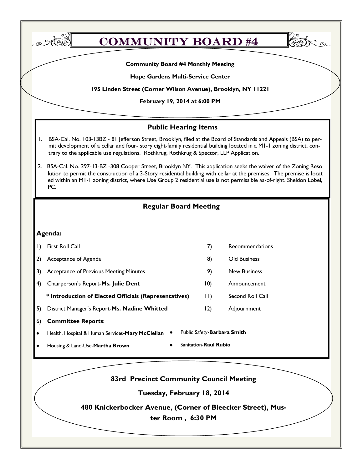| <b>Community Board #4 Monthly Meeting</b>                                                                                                                                                                                                                                                                                                                                 |                                                       |             |                             |  |  |  |  |  |  |
|---------------------------------------------------------------------------------------------------------------------------------------------------------------------------------------------------------------------------------------------------------------------------------------------------------------------------------------------------------------------------|-------------------------------------------------------|-------------|-----------------------------|--|--|--|--|--|--|
| Hope Gardens Multi-Service Center                                                                                                                                                                                                                                                                                                                                         |                                                       |             |                             |  |  |  |  |  |  |
| 195 Linden Street (Corner Wilson Avenue), Brooklyn, NY 11221<br>February 19, 2014 at 6:00 PM                                                                                                                                                                                                                                                                              |                                                       |             |                             |  |  |  |  |  |  |
|                                                                                                                                                                                                                                                                                                                                                                           |                                                       |             |                             |  |  |  |  |  |  |
|                                                                                                                                                                                                                                                                                                                                                                           | <b>Public Hearing Items</b>                           |             |                             |  |  |  |  |  |  |
| BSA-Cal. No. 103-13BZ - 81 Jefferson Street, Brooklyn, filed at the Board of Standards and Appeals (BSA) to per-<br>۱.<br>mit development of a cellar and four- story eight-family residential building located in a M1-1 zoning district, con-<br>trary to the applicable use regulations. Rothkrug, Rothkrug & Spector, LLP Application.                                |                                                       |             |                             |  |  |  |  |  |  |
| BSA-Cal. No. 297-13-BZ -308 Cooper Street, Brooklyn NY. This application seeks the waiver of the Zoning Reso<br>2.<br>lution to permit the construction of a 3-Story residential building with cellar at the premises. The premise is locat<br>ed within an MI-I zoning district, where Use Group 2 residential use is not permissible as-of-right. Sheldon Lobel,<br>PC. |                                                       |             |                             |  |  |  |  |  |  |
|                                                                                                                                                                                                                                                                                                                                                                           | <b>Regular Board Meeting</b>                          |             |                             |  |  |  |  |  |  |
|                                                                                                                                                                                                                                                                                                                                                                           |                                                       |             |                             |  |  |  |  |  |  |
|                                                                                                                                                                                                                                                                                                                                                                           | Agenda:                                               |             |                             |  |  |  |  |  |  |
| I)                                                                                                                                                                                                                                                                                                                                                                        | First Roll Call                                       | 7)          | Recommendations             |  |  |  |  |  |  |
| 2)                                                                                                                                                                                                                                                                                                                                                                        | Acceptance of Agenda                                  | 8)          | Old Business                |  |  |  |  |  |  |
| 3)                                                                                                                                                                                                                                                                                                                                                                        | Acceptance of Previous Meeting Minutes                | 9)          | <b>New Business</b>         |  |  |  |  |  |  |
| 4)                                                                                                                                                                                                                                                                                                                                                                        | Chairperson's Report-Ms. Julie Dent                   | (0)         | Announcement                |  |  |  |  |  |  |
|                                                                                                                                                                                                                                                                                                                                                                           | * Introduction of Elected Officials (Representatives) | $  \,   \,$ | Second Roll Call            |  |  |  |  |  |  |
| 5)                                                                                                                                                                                                                                                                                                                                                                        | District Manager's Report-Ms. Nadine Whitted          | 12)         | Adjournment                 |  |  |  |  |  |  |
| 6)                                                                                                                                                                                                                                                                                                                                                                        | <b>Committee Reports:</b>                             |             |                             |  |  |  |  |  |  |
|                                                                                                                                                                                                                                                                                                                                                                           | Health, Hospital & Human Services-Mary McClellan      |             | Public Safety-Barbara Smith |  |  |  |  |  |  |
| Sanitation-Raul Rubio<br>Housing & Land-Use-Martha Brown                                                                                                                                                                                                                                                                                                                  |                                                       |             |                             |  |  |  |  |  |  |
|                                                                                                                                                                                                                                                                                                                                                                           |                                                       |             |                             |  |  |  |  |  |  |
|                                                                                                                                                                                                                                                                                                                                                                           |                                                       |             |                             |  |  |  |  |  |  |
|                                                                                                                                                                                                                                                                                                                                                                           | <b>83rd Precinct Community Council Meeting</b>        |             |                             |  |  |  |  |  |  |
|                                                                                                                                                                                                                                                                                                                                                                           | Tuesday, February 18, 2014                            |             |                             |  |  |  |  |  |  |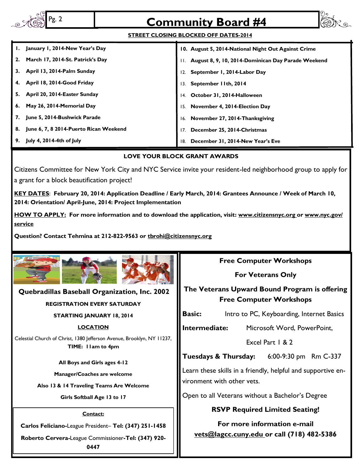| Pg. 2                                                                                                                                                                                                                                                                                                                                                                                                                                                                                                                                                                                                                                                                                                                                                                                                                                                                                                                                    | <b>Community Board #4</b>                                                                                                                      |  |  |  |  |  |  |  |
|------------------------------------------------------------------------------------------------------------------------------------------------------------------------------------------------------------------------------------------------------------------------------------------------------------------------------------------------------------------------------------------------------------------------------------------------------------------------------------------------------------------------------------------------------------------------------------------------------------------------------------------------------------------------------------------------------------------------------------------------------------------------------------------------------------------------------------------------------------------------------------------------------------------------------------------|------------------------------------------------------------------------------------------------------------------------------------------------|--|--|--|--|--|--|--|
| <b>STREET CLOSING BLOCKED OFF DATES-2014</b>                                                                                                                                                                                                                                                                                                                                                                                                                                                                                                                                                                                                                                                                                                                                                                                                                                                                                             |                                                                                                                                                |  |  |  |  |  |  |  |
| January 1, 2014-New Year's Day<br>10. August 5, 2014-National Night Out Against Crime<br>March 17, 2014-St. Patrick's Day<br>2.<br>II. August 8, 9, 10, 2014-Dominican Day Parade Weekend<br>April 13, 2014-Palm Sunday<br>3.<br>12. September 1, 2014-Labor Day<br>April 18, 2014-Good Friday<br>4.<br>September 11th, 2014<br>13.<br>April 20, 2014-Easter Sunday<br>5.<br>October 31, 2014-Halloween<br>14.<br>May 26, 2014-Memorial Day<br>6.<br>November 4, 2014-Election Day<br>June 5, 2014-Bushwick Parade<br>7.<br>16. November 27, 2014-Thanksgiving<br>June 6, 7, 8 2014-Puerto Rican Weekend<br>8.<br>December 25, 2014-Christmas<br>17.<br>July 4, 2014-4th of July<br>9.<br>December 31, 2014-New Year's Eve<br>18.<br><b>LOVE YOUR BLOCK GRANT AWARDS</b><br>Citizens Committee for New York City and NYC Service invite your resident-led neighborhood group to apply for<br>a grant for a block beautification project! |                                                                                                                                                |  |  |  |  |  |  |  |
| KEY DATES: February 20, 2014: Application Deadline / Early March, 2014: Grantees Announce / Week of March 10,<br>2014: Orientation/ April-June, 2014: Project Implementation<br>HOW TO APPLY: For more information and to download the application, visit: www.citizensnyc.org or www.nyc.gov/<br><b>service</b><br>Question? Contact Tehmina at 212-822-9563 or throhi@citizensnyc.org                                                                                                                                                                                                                                                                                                                                                                                                                                                                                                                                                  |                                                                                                                                                |  |  |  |  |  |  |  |
|                                                                                                                                                                                                                                                                                                                                                                                                                                                                                                                                                                                                                                                                                                                                                                                                                                                                                                                                          | <b>Free Computer Workshops</b><br><b>For Veterans Only</b>                                                                                     |  |  |  |  |  |  |  |
| Quebradillas Baseball Organization, Inc. 2002<br><b>REGISTRATION EVERY SATURDAY</b>                                                                                                                                                                                                                                                                                                                                                                                                                                                                                                                                                                                                                                                                                                                                                                                                                                                      | The Veterans Upward Bound Program is offering<br><b>Free Computer Workshops</b>                                                                |  |  |  |  |  |  |  |
| <b>STARTING JANUARY 18, 2014</b>                                                                                                                                                                                                                                                                                                                                                                                                                                                                                                                                                                                                                                                                                                                                                                                                                                                                                                         | Intro to PC, Keyboarding, Internet Basics<br><b>Basic:</b>                                                                                     |  |  |  |  |  |  |  |
| <b>LOCATION</b><br>Celestial Church of Christ, 1380 Jefferson Avenue, Brooklyn, NY 11237,<br>TIME: I lam to 4pm                                                                                                                                                                                                                                                                                                                                                                                                                                                                                                                                                                                                                                                                                                                                                                                                                          | Intermediate:<br>Microsoft Word, PowerPoint,<br>Excel Part   & 2<br>Tuesdays & Thursday:<br>6:00-9:30 pm Rm C-337                              |  |  |  |  |  |  |  |
| All Boys and Girls ages 4-12<br>Manager/Coaches are welcome<br>Also 13 & 14 Traveling Teams Are Welcome<br>Girls Softball Age 13 to 17                                                                                                                                                                                                                                                                                                                                                                                                                                                                                                                                                                                                                                                                                                                                                                                                   | Learn these skills in a friendly, helpful and supportive en-<br>vironment with other vets.<br>Open to all Veterans without a Bachelor's Degree |  |  |  |  |  |  |  |
| Contact:<br>Carlos Feliciano-League President- Tel: (347) 251-1458<br>Roberto Cervera-League Commissioner-Tel: (347) 920-<br>0447                                                                                                                                                                                                                                                                                                                                                                                                                                                                                                                                                                                                                                                                                                                                                                                                        | <b>RSVP Required Limited Seating!</b><br>For more information e-mail<br>vets@lagcc.cuny.edu_or call (718) 482-5386                             |  |  |  |  |  |  |  |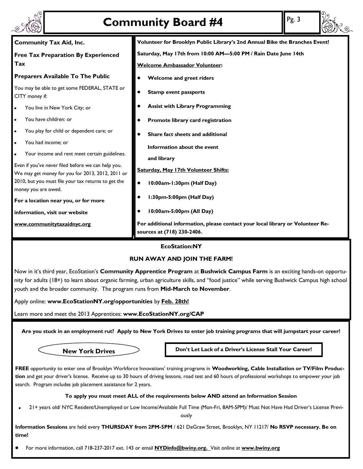

# **Community Board #4** Pg. 3

| <b>Community Board #4</b>                                                                                                                                                                                                                                                                                                                                                                                                                                                                                                                                                                                                                                                                                                                                                              | Pg. 3                                                                                                                                                                                                                                                                                                                                                                                                                                                                                                                                                                                                                                                                        |  |  |  |  |  |  |  |
|----------------------------------------------------------------------------------------------------------------------------------------------------------------------------------------------------------------------------------------------------------------------------------------------------------------------------------------------------------------------------------------------------------------------------------------------------------------------------------------------------------------------------------------------------------------------------------------------------------------------------------------------------------------------------------------------------------------------------------------------------------------------------------------|------------------------------------------------------------------------------------------------------------------------------------------------------------------------------------------------------------------------------------------------------------------------------------------------------------------------------------------------------------------------------------------------------------------------------------------------------------------------------------------------------------------------------------------------------------------------------------------------------------------------------------------------------------------------------|--|--|--|--|--|--|--|
| <b>Community Tax Aid, Inc.</b><br><b>Free Tax Preparation By Experienced</b><br>Tax<br><b>Preparers Available To The Public</b><br>You may be able to get some FEDERAL, STATE or<br>CITY money if:<br>You live in New York City; or<br>You have children: or<br>You play for child or dependent care; or<br>You had income; or<br>Your income and rent meet certain guidelines.<br>Even if you've never filed before we can help you.<br>We may get money for you for 2013, 2012, 2011 or<br>2010, but you must file your tax returns to get the<br>money you are owed.<br>For a location near you, or for more<br>information, visit our website<br>www.communitytaxaidnyc.org                                                                                                        | Volunteer for Brooklyn Public Library's 2nd Annual Bike the Branches Event!<br>Saturday, May 17th from 10:00 AM-5:00 PM / Rain Date June 14th<br><b>Welcome Ambassador Volunteer:</b><br>Welcome and greet riders<br><b>Stamp event passports</b><br>$\bullet$<br><b>Assist with Library Programming</b><br>Promote library card registration<br>Share fact sheets and additional<br>Information about the event<br>and library<br>Saturday, May 17th Volunteer Shifts:<br>10:00am-1:30pm (Half Day)<br>1:30pm-5:00pm (Half Day)<br>10:00am-5:00pm (All Day)<br>For additional information, please contact your local library or Volunteer Re-<br>sources at (718) 230-2406. |  |  |  |  |  |  |  |
| <b>EcoStation:NY</b><br><b>RUN AWAY AND JOIN THE FARM!</b><br>Now in it's third year, EcoStation's Community Apprentice Program at Bushwick Campus Farm is an exciting hands-on opportu-<br>nity for adults (18+) to learn about organic farming, urban agriculture skills, and "food justice" while serving Bushwick Campus high school<br>youth and the broader community. The program runs from Mid-March to November.<br>Apply online: www.EcoStationNY.org/opportunities by Feb. 28th!<br>Learn more and meet the 2013 Apprentices: www.EcoStationNY.org/CAP<br>Are you stuck in an employment rut? Apply to New York Drives to enter job training programs that will jumpstart your career!<br>Don't Let Lack of a Driver's License Stall Your Career!<br><b>New York Drives</b> |                                                                                                                                                                                                                                                                                                                                                                                                                                                                                                                                                                                                                                                                              |  |  |  |  |  |  |  |

#### **To apply you must meet ALL of the requirements below AND attend an Information Session**

21+ years old/ NYC Resident/Unemployed or Low Income/Available Full Time (Mon-Fri, 8AM-5PM)/ Must Not Have Had Driver's License Previ- $\bullet$ ously

**Information Sessions** are held every **THURSDAY from 2PM-5PM** / 621 DeGraw Street, Brooklyn, NY 11217/ **No RSVP necessary. Be on time!**

For more information, call 718-237-2017 ext. 143 or email **NYDinfo@bwiny.org.** Visit online at **www.bwiny.org**  $\bullet$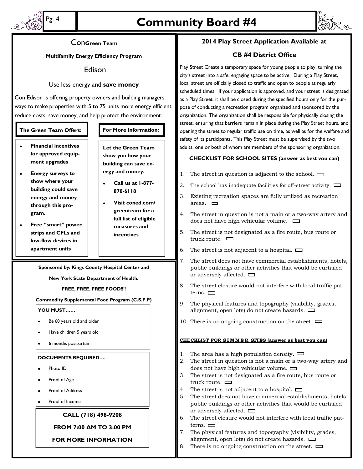

### Pg. 4 **Community Board #4**



#### Con**Green Team**

**Multifamily Energy Efficiency Program**

#### Edison

#### Use less energy and **save money**

Con Edison is offering property owners and building managers ways to make properties with 5 to 75 units more energy efficient, reduce costs, save money, and help protect the environment.

#### **The Green Team Offers: For More Information:**

- **Financial incentives for approved equipment upgrades**
- **Energy surveys to show where your building could save energy and money through this program.**
- **Free "smart" power strips and CFLs and low-flow devices in apartment units**

**Let the Green Team show you how your building can save energy and money.**

- **Call us at 1-877- 870-6118**
- **Visit coned.com/**  $\bullet$ **greenteam for a full list of eligible measures and incentives**

**Sponsored by: Kings County Hospital Center and** 

**New York State Department of Health.**

#### **FREE, FREE, FREE FOOD!!!!**

#### **Commodity Supplemental Food Program (C.S.F.P)**

**YOU MUST……**

- Be 60 years old and older
- Have children 5 years old
- 6 months posipartum

#### **DOCUMENTS REQUIRED….**

- Photo ID
- Proof of Age
- Proof of Address
- Proof of Income

#### **CALL (718) 498-9208**

#### **FROM 7:00 AM TO 3:00 PM**

**FOR MORE INFORMATION**

#### **2014 Play Street Application Available at**

#### **CB #4 District Office**

Play Street Create a temporary space for young people to play, turning the city's street into a safe, engaging space to be active. During a Play Street, local street are officially closed to traffic and open to people at regularly scheduled times. If your application is approved, and your street is designated as a Play Street, it shall be closed during the specified hours only for the purpose of conducting a recreation program organized and sponsored by the organization. The organization shall be responsible for physically closing the street, ensuring that barriers remain in place during the Play Street hours, and opening the street to regular traffic use on time, as well as for the welfare and safety of its participants. This Play Street must be supervised by the two adults, one or both of whom are members of the sponsoring organization.

#### **CHECKLIST FOR SCHOOL SITES (answer as best vou can)**

- 1. The street in question is adjacent to the school.  $\Box$
- 2. The school has inadequate facilities for off-street activity.  $\Box$
- 3. Existing recreation spaces are fully utilized as recreation areas.  $\Box$
- 4. The street in question is not a main or a two-way artery and does not have high vehicular volume.
- 5. The street is not designated as a fire route, bus route or truck route.  $\Box$
- 6. The street is not adjacent to a hospital.  $\Box$
- 7. The street does not have commercial establishments, hotels, public buildings or other activities that would be curtailed or adversely affected.  $\Box$
- 8. The street closure would not interfere with local traffic patterns.  $\Box$
- 9. The physical features and topography (visibility, grades, alignment, open lots) do not create hazards.
- 10. There is no ongoing construction on the street.  $\Box$

#### **CHECKLIST FOR S I M M E R SITES (answer as best vou can)**

- 1. The area has a high population density.  $\Box$
- 2. The street in question is not a main or a two-way artery and does not have high vehicular volume.
- 3. The street is not designated as a fire route, bus route or truck route.  $\Box$
- 4. The street is not adjacent to a hospital.  $\Box$
- 5. The street does not have commercial establishments, hotels, public buildings or other activities that would be curtailed or adversely affected.  $\Box$
- 6. The street closure would not interfere with local traffic patterns.  $\Box$
- 7. The physical features and topography (visibility, grades, alignment, open lots) do not create hazards.
- 8. There is no ongoing construction on the street.  $\Box$